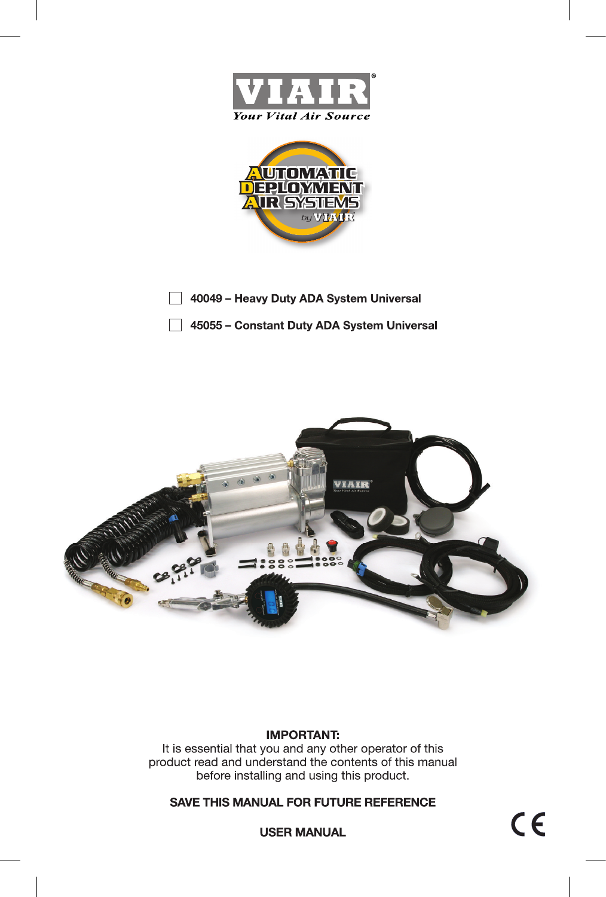



40049 - Heavy Duty ADA System Universal

45055 - Constant Duty ADA System Universal



# **IMPORTANT:**

It is essential that you and any other operator of this product read and understand the contents of this manual before installing and using this product.

**SAVE THIS MANUAL FOR FUTURE REFERENCE**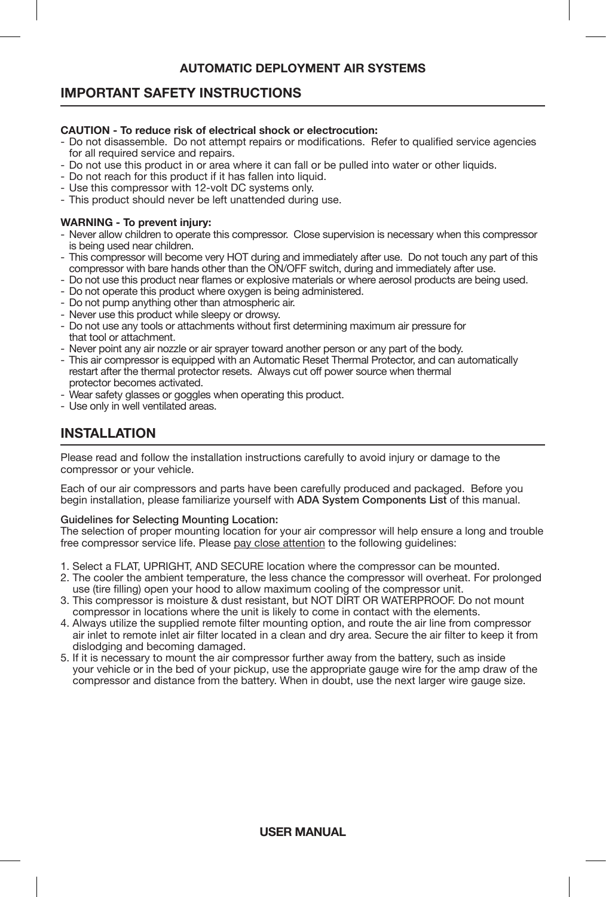# **IMPORTANT SAFETY INSTRUCTIONS**

#### **CAUTION - To reduce risk of electrical shock or electrocution:**

- Do not disassemble. Do not attempt repairs or modifications. Refer to qualified service agencies for all required service and repairs.
- Do not use this product in or area where it can fall or be pulled into water or other liquids.
- Do not reach for this product if it has fallen into liquid.
- Use this compressor with 12-volt DC systems only.
- This product should never be left unattended during use.

#### **WARNING - To prevent injury:**

- Never allow children to operate this compressor. Close supervision is necessary when this compressor is being used near children.
- This compressor will become very HOT during and immediately after use. Do not touch any part of this compressor with bare hands other than the ON/OFF switch, during and immediately after use.
- Do not use this product near flames or explosive materials or where aerosol products are being used.
- Do not operate this product where oxygen is being administered.
- Do not pump anything other than atmospheric air.
- Never use this product while sleepy or drowsy.
- Do not use any tools or attachments without first determining maximum air pressure for that tool or attachment.
- Never point any air nozzle or air sprayer toward another person or any part of the body.
- This air compressor is equipped with an Automatic Reset Thermal Protector, and can automatically restart after the thermal protector resets. Always cut off power source when thermal protector becomes activated.
- Wear safety glasses or goggles when operating this product.
- Use only in well ventilated areas.

# **INSTALLATION**

Please read and follow the installation instructions carefully to avoid injury or damage to the compressor or your vehicle.

Each of our air compressors and parts have been carefully produced and packaged. Before you begin installation, please familiarize yourself with ADA System Components List of this manual.

## Guidelines for Selecting Mounting Location:

The selection of proper mounting location for your air compressor will help ensure a long and trouble free compressor service life. Please pay close attention to the following guidelines:

- 1. Select a FLAT, UPRIGHT, AND SECURE location where the compressor can be mounted.
- 2. The cooler the ambient temperature, the less chance the compressor will overheat. For prolonged use (tire filling) open your hood to allow maximum cooling of the compressor unit.
- 3. This compressor is moisture & dust resistant, but NOT DIRT OR WATERPROOF. Do not mount compressor in locations where the unit is likely to come in contact with the elements.
- 4. Always utilize the supplied remote filter mounting option, and route the air line from compressor air inlet to remote inlet air filter located in a clean and dry area. Secure the air filter to keep it from dislodging and becoming damaged.
- 5. If it is necessary to mount the air compressor further away from the battery, such as inside your vehicle or in the bed of your pickup, use the appropriate gauge wire for the amp draw of the compressor and distance from the battery. When in doubt, use the next larger wire gauge size.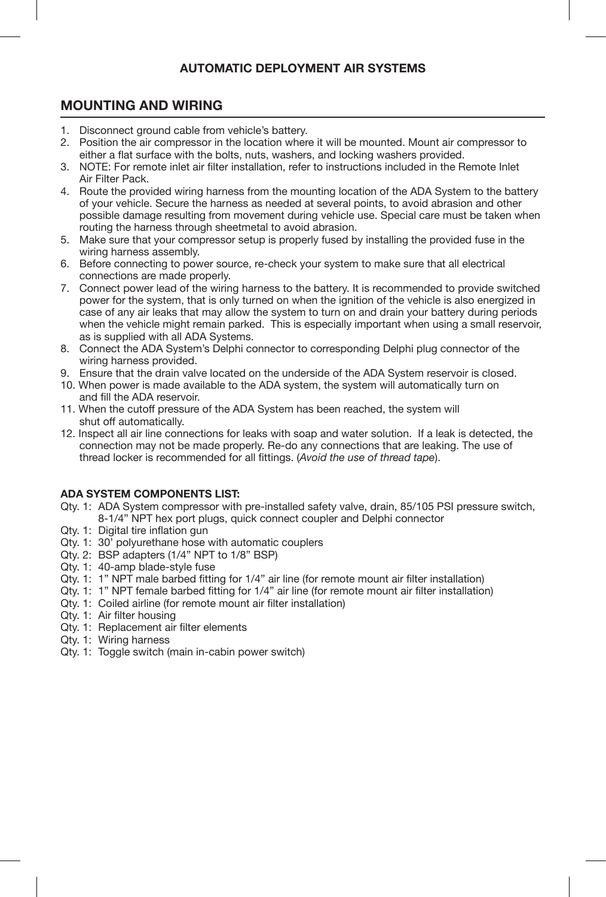# **MOUNTING AND WIRING**

- 1. Disconnect ground cable from vehicle's battery.
- 2. Position the air compressor in the location where it will be mounted. Mount air compressor to either a flat surface with the bolts, nuts, washers, and locking washers provided.
- 3. NOTE: For remote inlet air filter installation, refer to instructions included in the Remote Inlet Air Filter Pack.
- 4. Route the provided wiring harness from the mounting location of the ADA System to the battery of your vehicle. Secure the harness as needed at several points, to avoid abrasion and other possible damage resulting from movement during vehicle use. Special care must be taken when routing the harness through sheetmetal to avoid abrasion.
- 5. Make sure that your compressor setup is properly fused by installing the provided fuse in the wiring harness assembly.
- 6. Before connecting to power source, re-check your system to make sure that all electrical connections are made properly.
- 7. Connect power lead of the wiring harness to the battery. It is recommended to provide switched power for the system, that is only turned on when the ignition of the vehicle is also energized in case of any air leaks that may allow the system to turn on and drain your battery during periods when the vehicle might remain parked. This is especially important when using a small reservoir, as is supplied with all ADA Systems.
- 8. Connect the ADA System's Delphi connector to corresponding Delphi plug connector of the wiring harness provided.
- 9. Ensure that the drain valve located on the underside of the ADA System reservoir is closed.
- 10. When power is made available to the ADA system, the system will automatically turn on and fill the ADA reservoir.
- 11. When the cutoff pressure of the ADA System has been reached, the system will shut off automatically.
- 12. Inspect all air line connections for leaks with soap and water solution. If a leak is detected, the connection may not be made properly. Re-do any connections that are leaking. The use of thread locker is recommended for all fittings. (*Avoid the use of thread tape*).

## **ADA SYSTEM COMPONENTS LIST:**

- Qty. 1: ADA System compressor with pre-installed safety valve, drain, 85/105 PSI pressure switch, 8-1/4" NPT hex port plugs, quick connect coupler and Delphi connector
- Qty. 1: Digital tire inflation gun
- Qty. 1: 30' polyurethane hose with automatic couplers
- Qty. 2: BSP adapters (1/4" NPT to 1/8" BSP)
- Qty. 1: 40-amp blade-style fuse
- Qty. 1: 1" NPT male barbed fitting for 1/4" air line (for remote mount air filter installation)
- Qty. 1: 1" NPT female barbed fitting for 1/4" air line (for remote mount air filter installation)
- Qty. 1: Coiled airline (for remote mount air filter installation)
- Qty. 1: Air filter housing
- Qty. 1: Replacement air filter elements
- Qty. 1: Wiring harness
- Qty. 1: Toggle switch (main in-cabin power switch)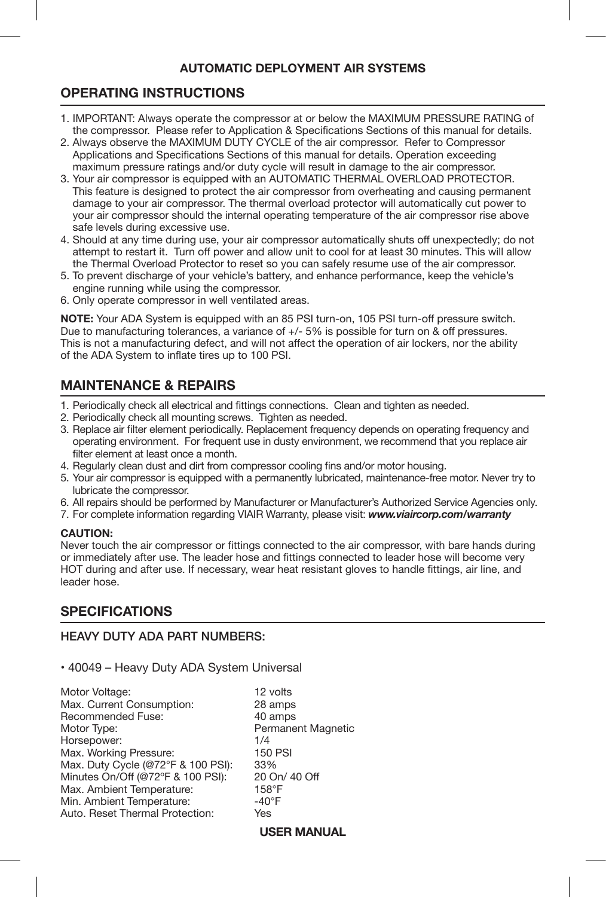# **OPERATING INSTRUCTIONS**

- Ī 1. IMPORTANT: Always operate the compressor at or below the MAXIMUM PRESSURE RATING of the compressor. Please refer to Application & Specifications Sections of this manual for details.
- 2. Always observe the MAXIMUM DUTY CYCLE of the air compressor. Refer to Compressor Applications and Specifications Sections of this manual for details. Operation exceeding maximum pressure ratings and/or duty cycle will result in damage to the air compressor.
- 3. Your air compressor is equipped with an AUTOMATIC THERMAL OVERLOAD PROTECTOR. This feature is designed to protect the air compressor from overheating and causing permanent damage to your air compressor. The thermal overload protector will automatically cut power to your air compressor should the internal operating temperature of the air compressor rise above safe levels during excessive use.
- 4. Should at any time during use, your air compressor automatically shuts off unexpectedly; do not attempt to restart it. Turn off power and allow unit to cool for at least 30 minutes. This will allow the Thermal Overload Protector to reset so you can safely resume use of the air compressor.
- 5. To prevent discharge of your vehicle's battery, and enhance performance, keep the vehicle's engine running while using the compressor.
- 6. Only operate compressor in well ventilated areas.

**NOTE:** Your ADA System is equipped with an 85 PSI turn-on, 105 PSI turn-off pressure switch. Due to manufacturing tolerances, a variance of +/- 5% is possible for turn on & off pressures. This is not a manufacturing defect, and will not affect the operation of air lockers, nor the ability of the ADA System to inflate tires up to 100 PSI.

# **MAINTENANCE & REPAIRS**

- 1. Periodically check all electrical and fittings connections. Clean and tighten as needed.
- 2. Periodically check all mounting screws. Tighten as needed.
- 3. Replace air filter element periodically. Replacement frequency depends on operating frequency and operating environment. For frequent use in dusty environment, we recommend that you replace air filter element at least once a month.
- 4. Regularly clean dust and dirt from compressor cooling fins and/or motor housing.
- 5. Your air compressor is equipped with a permanently lubricated, maintenance-free motor. Never try to lubricate the compressor.
- 6. All repairs should be performed by Manufacturer or Manufacturer's Authorized Service Agencies only.
- 7. For complete information regarding VIAIR Warranty, please visit: *www.viaircorp.com/warranty*

## **CAUTION:**

Never touch the air compressor or fittings connected to the air compressor, with bare hands during or immediately after use. The leader hose and fittings connected to leader hose will become very HOT during and after use. If necessary, wear heat resistant gloves to handle fittings, air line, and leader hose.

# **SPECIFICATIONS**

# HEAVY DUTY ADA PART NUMBERS:

## • 40049 – Heavy Duty ADA System Universal

Motor Voltage: 12 volts<br>Max. Current Consumption: 12 28 amps Max. Current Consumption: 28 amps<br>Recommended Fuse: 40 amps Recommended Fuse:<br>Motor Type: Horsepower: 1/4 Max. Working Pressure: 150 PMax. Duty Cycle (@72°F & 100 PSI): 33% Max. Duty Cycle (@72°F & 100 PSI): 33%<br>Minutes On/Off (@72°F & 100 PSI): 20 On/ 40 Off Minutes On/Off (@72°F & 100 PSI): 20 On<br>Max. Ambient Temperature: 20 158°F Max. Ambient Temperature: 158°F<br>Min. Ambient Temperature: 140°F Min. Ambient Temperature:  $-40^{\circ}$ <br>Auto. Reset Thermal Protection: Yes Auto. Reset Thermal Protection:

Permanent Magnetic<br>1/4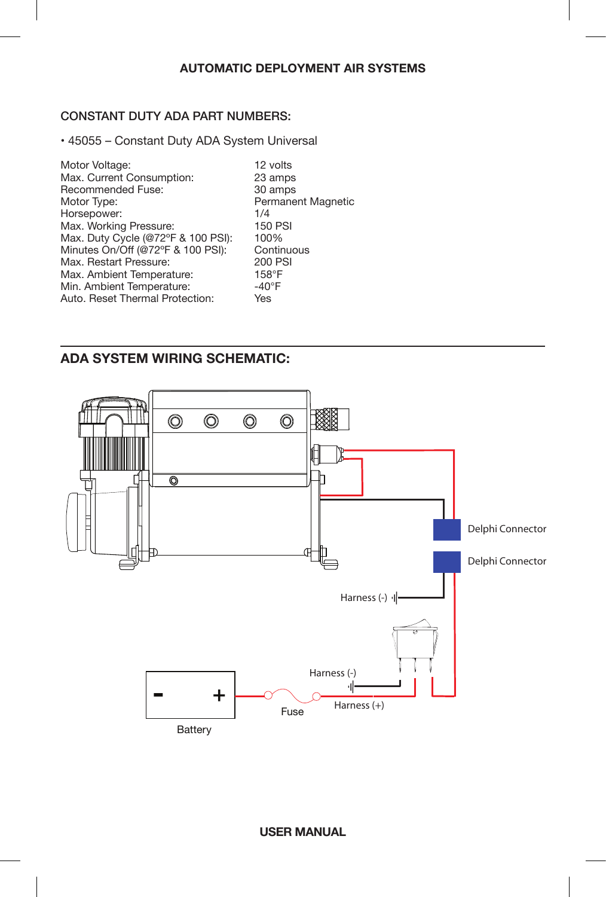## CONSTANT DUTY ADA PART NUMBERS:

• 45055 – Constant Duty ADA System Universal

| Motor Voltage:                     | 12 volts                  |
|------------------------------------|---------------------------|
| Max. Current Consumption:          | 23 amps                   |
| Recommended Fuse:                  | 30 amps                   |
| Motor Type:                        | <b>Permanent Magnetic</b> |
| Horsepower:                        | 1/4                       |
| Max. Working Pressure:             | <b>150 PSI</b>            |
| Max. Duty Cycle (@72°F & 100 PSI): | 100%                      |
| Minutes On/Off (@72°F & 100 PSI):  | Continuous                |
| Max. Restart Pressure:             | <b>200 PSI</b>            |
| Max. Ambient Temperature:          | $158^\circ F$             |
| Min. Ambient Temperature:          | $-40^{\circ}$ F           |
| Auto. Reset Thermal Protection:    | Yes                       |
|                                    |                           |

# **ADA SYSTEM WIRING SCHEMATIC:**

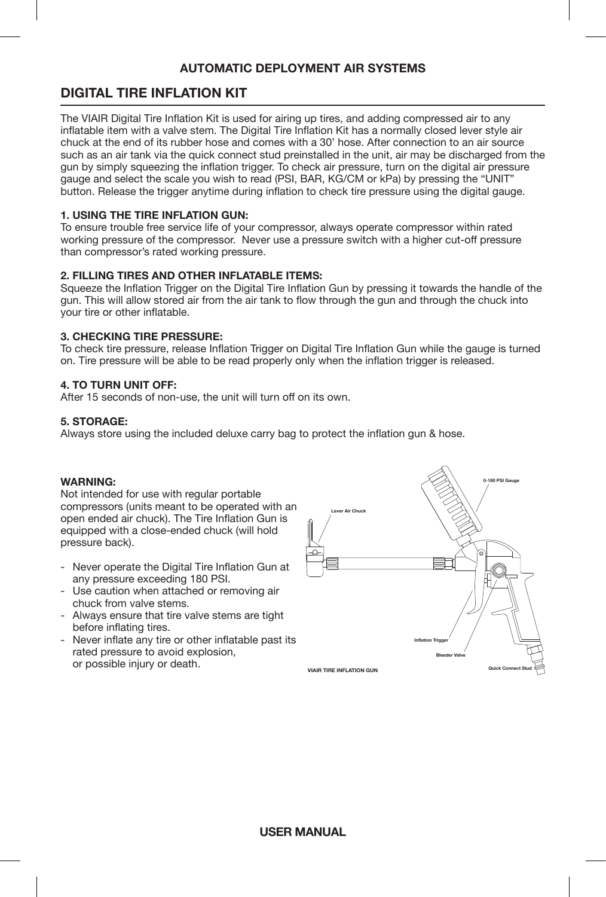# **DIGITAL TIRE INFLATION KIT**

The VIAIR Digital Tire Inflation Kit is used for airing up tires, and adding compressed air to any inflatable item with a valve stem. The Digital Tire Inflation Kit has a normally closed lever style air chuck at the end of its rubber hose and comes with a 30' hose. After connection to an air source such as an air tank via the quick connect stud preinstalled in the unit, air may be discharged from the gun by simply squeezing the inflation trigger. To check air pressure, turn on the digital air pressure gauge and select the scale you wish to read (PSI, BAR, KG/CM or kPa) by pressing the "UNIT" button. Release the trigger anytime during inflation to check tire pressure using the digital gauge.

## **1. USING THE TIRE INFLATION GUN:**

To ensure trouble free service life of your compressor, always operate compressor within rated working pressure of the compressor. Never use a pressure switch with a higher cut-off pressure than compressor's rated working pressure.

## **2. FILLING TIRES AND OTHER INFLATABLE ITEMS:**

Squeeze the Inflation Trigger on the Digital Tire Inflation Gun by pressing it towards the handle of the gun. This will allow stored air from the air tank to flow through the gun and through the chuck into your tire or other inflatable.

## **3. CHECKING TIRE PRESSURE:**

To check tire pressure, release Inflation Trigger on Digital Tire Inflation Gun while the gauge is turned on. Tire pressure will be able to be read properly only when the inflation trigger is released.

## **4. TO TURN UNIT OFF:**

After 15 seconds of non-use, the unit will turn off on its own.

## **5. STORAGE:**

Always store using the included deluxe carry bag to protect the inflation gun & hose.

## **WARNING:**

Not intended for use with regular portable compressors (units meant to be operated with an open ended air chuck). The Tire Inflation Gun is equipped with a close-ended chuck (will hold pressure back).

- Never operate the Digital Tire Inflation Gun at any pressure exceeding 180 PSI.
- Use caution when attached or removing air chuck from valve stems.
- Always ensure that tire valve stems are tight before inflating tires.
- Never inflate any tire or other inflatable past its rated pressure to avoid explosion, or possible injury or death.

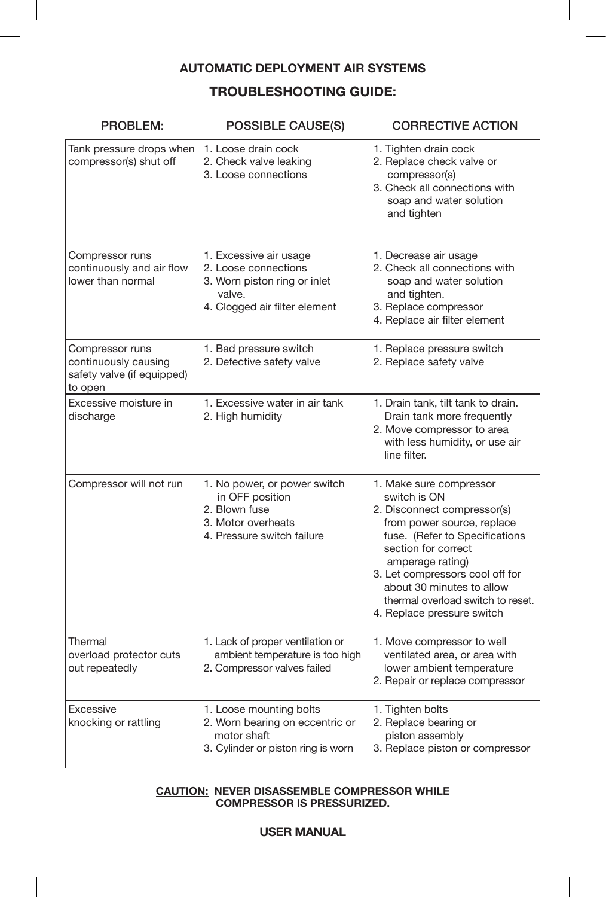# **TROUBLESHOOTING GUIDE:**

| PROBLEM:                                                                         | <b>POSSIBLE CAUSE(S)</b>                                                                                                  | <b>CORRECTIVE ACTION</b>                                                                                                                                                                                                                                                                                             |  |  |
|----------------------------------------------------------------------------------|---------------------------------------------------------------------------------------------------------------------------|----------------------------------------------------------------------------------------------------------------------------------------------------------------------------------------------------------------------------------------------------------------------------------------------------------------------|--|--|
| Tank pressure drops when<br>compressor(s) shut off                               | 1. Loose drain cock<br>2. Check valve leaking<br>3. Loose connections                                                     | 1. Tighten drain cock<br>2. Replace check valve or<br>compressor(s)<br>3. Check all connections with<br>soap and water solution<br>and tighten                                                                                                                                                                       |  |  |
| Compressor runs<br>continuously and air flow<br>lower than normal                | 1. Excessive air usage<br>2. Loose connections<br>3. Worn piston ring or inlet<br>valve.<br>4. Clogged air filter element | 1. Decrease air usage<br>2. Check all connections with<br>soap and water solution<br>and tighten.<br>3. Replace compressor<br>4. Replace air filter element                                                                                                                                                          |  |  |
| Compressor runs<br>continuously causing<br>safety valve (if equipped)<br>to open | 1. Bad pressure switch<br>2. Defective safety valve                                                                       | 1. Replace pressure switch<br>2. Replace safety valve                                                                                                                                                                                                                                                                |  |  |
| Excessive moisture in<br>discharge                                               | 1. Excessive water in air tank<br>2. High humidity                                                                        | 1. Drain tank, tilt tank to drain.<br>Drain tank more frequently<br>2. Move compressor to area<br>with less humidity, or use air<br>line filter.                                                                                                                                                                     |  |  |
| Compressor will not run                                                          | 1. No power, or power switch<br>in OFF position<br>2. Blown fuse<br>3. Motor overheats<br>4. Pressure switch failure      | 1. Make sure compressor<br>switch is ON<br>2. Disconnect compressor(s)<br>from power source, replace<br>fuse. (Refer to Specifications<br>section for correct<br>amperage rating)<br>3. Let compressors cool off for<br>about 30 minutes to allow<br>thermal overload switch to reset.<br>4. Replace pressure switch |  |  |
| Thermal<br>overload protector cuts<br>out repeatedly                             | 1. Lack of proper ventilation or<br>ambient temperature is too high<br>2. Compressor valves failed                        | 1. Move compressor to well<br>ventilated area, or area with<br>lower ambient temperature<br>2. Repair or replace compressor                                                                                                                                                                                          |  |  |
| Excessive<br>knocking or rattling                                                | 1. Loose mounting bolts<br>2. Worn bearing on eccentric or<br>motor shaft<br>3. Cylinder or piston ring is worn           | 1. Tighten bolts<br>2. Replace bearing or<br>piston assembly<br>3. Replace piston or compressor                                                                                                                                                                                                                      |  |  |

## **CAUTION: NEVER DISASSEMBLE COMPRESSOR WHILE COMPRESSOR IS PRESSURIZED.**